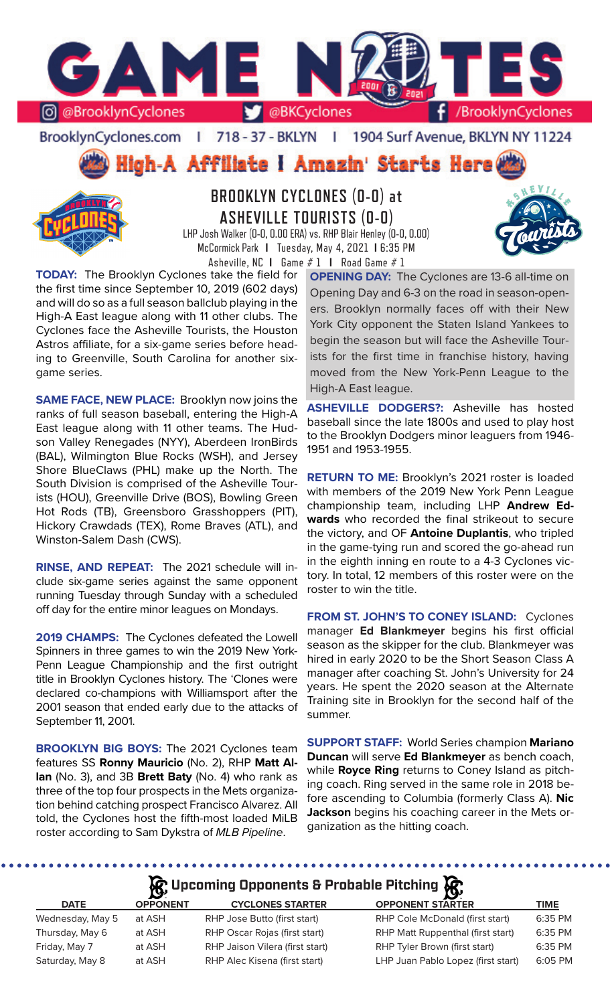

#### BrooklynCyclones.com | 718 - 37 - BKLYN | 1904 Surf Avenue, BKLYN NY 11224

High-A Affiliate I Amazin' Starts Here



# **BROOKLYN CYCLONES (0-0) at ASHEVILLE TOURISTS (0-0)**

LHP Josh Walker (0-0, 0.00 ERA) vs. RHP Blair Henley (0-0, 0.00) McCormick Park **I** Tuesday, May 4, 2021 **I** 6:35 PM Asheville, NC **I** Game # 1 **I** Road Game # 1

**TODAY:** The Brooklyn Cyclones take the field for the first time since September 10, 2019 (602 days) and will do so as a full season ballclub playing in the High-A East league along with 11 other clubs. The Cyclones face the Asheville Tourists, the Houston Astros affiliate, for a six-game series before heading to Greenville, South Carolina for another sixgame series.

**SAME FACE, NEW PLACE:** Brooklyn now joins the ranks of full season baseball, entering the High-A East league along with 11 other teams. The Hudson Valley Renegades (NYY), Aberdeen IronBirds (BAL), Wilmington Blue Rocks (WSH), and Jersey Shore BlueClaws (PHL) make up the North. The South Division is comprised of the Asheville Tourists (HOU), Greenville Drive (BOS), Bowling Green Hot Rods (TB), Greensboro Grasshoppers (PIT), Hickory Crawdads (TEX), Rome Braves (ATL), and Winston-Salem Dash (CWS).

**RINSE, AND REPEAT:** The 2021 schedule will include six-game series against the same opponent running Tuesday through Sunday with a scheduled off day for the entire minor leagues on Mondays.

**2019 CHAMPS:** The Cyclones defeated the Lowell Spinners in three games to win the 2019 New York-Penn League Championship and the first outright title in Brooklyn Cyclones history. The 'Clones were declared co-champions with Williamsport after the 2001 season that ended early due to the attacks of September 11, 2001.

**BROOKLYN BIG BOYS:** The 2021 Cyclones team features SS **Ronny Mauricio** (No. 2), RHP **Matt Allan** (No. 3), and 3B **Brett Baty** (No. 4) who rank as three of the top four prospects in the Mets organization behind catching prospect Francisco Alvarez. All told, the Cyclones host the fifth-most loaded MiLB roster according to Sam Dykstra of *MLB Pipeline*.

**OPENING DAY:** The Cyclones are 13-6 all-time on Opening Day and 6-3 on the road in season-openers. Brooklyn normally faces off with their New York City opponent the Staten Island Yankees to begin the season but will face the Asheville Tourists for the first time in franchise history, having moved from the New York-Penn League to the High-A East league.

**ASHEVILLE DODGERS?:** Asheville has hosted baseball since the late 1800s and used to play host to the Brooklyn Dodgers minor leaguers from 1946- 1951 and 1953-1955.

**RETURN TO ME:** Brooklyn's 2021 roster is loaded with members of the 2019 New York Penn League championship team, including LHP **Andrew Edwards** who recorded the final strikeout to secure the victory, and OF **Antoine Duplantis**, who tripled in the game-tying run and scored the go-ahead run in the eighth inning en route to a 4-3 Cyclones victory. In total, 12 members of this roster were on the roster to win the title.

**FROM ST. JOHN'S TO CONEY ISLAND:** Cyclones manager **Ed Blankmeyer** begins his first official season as the skipper for the club. Blankmeyer was hired in early 2020 to be the Short Season Class A manager after coaching St. John's University for 24 years. He spent the 2020 season at the Alternate Training site in Brooklyn for the second half of the summer.

**SUPPORT STAFF:** World Series champion **Mariano Duncan** will serve **Ed Blankmeyer** as bench coach, while **Royce Ring** returns to Coney Island as pitching coach. Ring served in the same role in 2018 before ascending to Columbia (formerly Class A). **Nic Jackson** begins his coaching career in the Mets organization as the hitting coach.

# **A**: Upcoming Opponents & Probable Pitching  $\mathbb{R}$

| <b>DATE</b>      | <b>OPPONENT</b> | <b>CYCLONES STARTER</b>         | <b>OPPONENT STARTER</b>            | TIME    |
|------------------|-----------------|---------------------------------|------------------------------------|---------|
| Wednesday, May 5 | at ASH          | RHP Jose Butto (first start)    | RHP Cole McDonald (first start)    | 6:35 PM |
| Thursday, May 6  | at ASH          | RHP Oscar Rojas (first start)   | RHP Matt Ruppenthal (first start)  | 6:35 PM |
| Friday, May 7    | at ASH          | RHP Jaison Vilera (first start) | RHP Tyler Brown (first start)      | 6:35 PM |
| Saturday, May 8  | at ASH          | RHP Alec Kisena (first start)   | LHP Juan Pablo Lopez (first start) | 6:05 PM |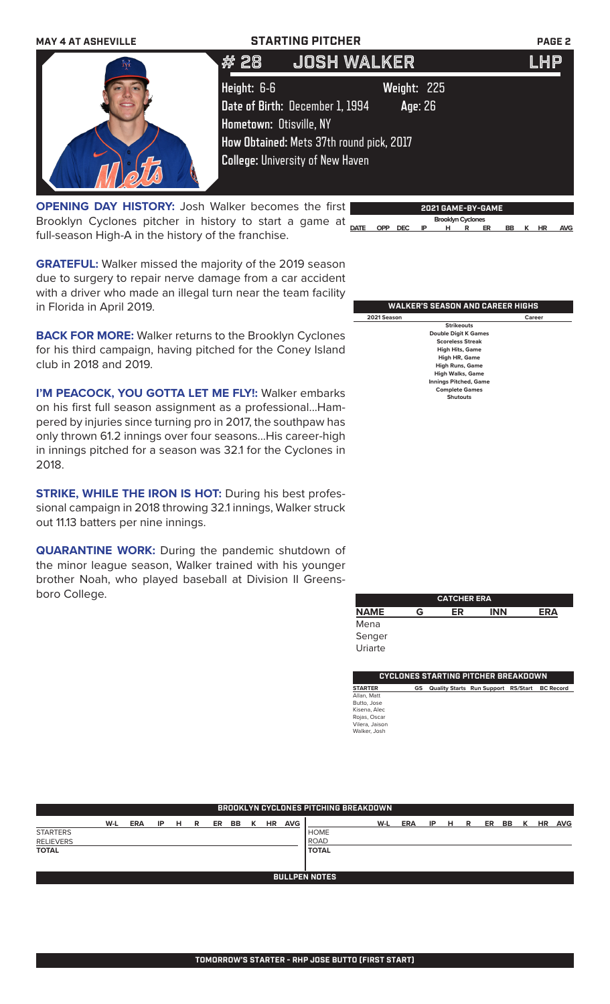

**OPENING DAY HISTORY:** Josh Walker becomes the first Brooklyn Cyclones pitcher in history to start a game at  $\frac{1}{\text{part}}$ full-season High-A in the history of the franchise.

**GRATEFUL:** Walker missed the majority of the 2019 season due to surgery to repair nerve damage from a car accident with a driver who made an illegal turn near the team facility in Florida in April 2019.

**BACK FOR MORE:** Walker returns to the Brooklyn Cyclones for his third campaign, having pitched for the Coney Island club in 2018 and 2019.

**I'M PEACOCK, YOU GOTTA LET ME FLY!: Walker embarks** on his first full season assignment as a professional...Hampered by injuries since turning pro in 2017, the southpaw has only thrown 61.2 innings over four seasons...His career-high in innings pitched for a season was 32.1 for the Cyclones in 2018.

**STRIKE, WHILE THE IRON IS HOT:** During his best professional campaign in 2018 throwing 32.1 innings, Walker struck out 11.13 batters per nine innings.

**QUARANTINE WORK:** During the pandemic shutdown of the minor league season, Walker trained with his younger brother Noah, who played baseball at Division II Greensboro College.

|  |                                    | . |  |  |  |
|--|------------------------------------|---|--|--|--|
|  | DATE OPP DEC IP H R ER BB K HR AVG |   |  |  |  |
|  |                                    |   |  |  |  |
|  |                                    |   |  |  |  |
|  |                                    |   |  |  |  |
|  |                                    |   |  |  |  |

**2021 GAME-BY-GAME**

 **Brooklyn Cyclones** 

#### **WALKER'S SEASON AND CAREER HIGHS 2021 Season Career Strikeouts Double Digit K Games Scoreless Streak High Hits, Game High HR, Game High Runs, Game High Walks, Game Ings Pitched, Ga Complete Games Shutouts**

|             | <b>CATCHER ERA</b> |    |            |     |  |  |
|-------------|--------------------|----|------------|-----|--|--|
| <b>NAME</b> | G                  | ER | <b>INN</b> | ERA |  |  |
| Mena        |                    |    |            |     |  |  |
| Senger      |                    |    |            |     |  |  |
| Uriarte     |                    |    |            |     |  |  |

| CYCLONES STARTING PITCHER BREAKDOWN |  |  |  |                                                  |  |  |
|-------------------------------------|--|--|--|--------------------------------------------------|--|--|
|                                     |  |  |  |                                                  |  |  |
|                                     |  |  |  |                                                  |  |  |
|                                     |  |  |  |                                                  |  |  |
|                                     |  |  |  |                                                  |  |  |
|                                     |  |  |  |                                                  |  |  |
|                                     |  |  |  |                                                  |  |  |
|                                     |  |  |  |                                                  |  |  |
|                                     |  |  |  | GS Quality Starts Run Support RS/Start BC Record |  |  |

|                  | <b>BROOKLYN CYCLONES PITCHING BREAKDOWN</b> |            |    |   |   |    |    |   |           |            |              |     |            |    |   |   |    |           |   |           |            |
|------------------|---------------------------------------------|------------|----|---|---|----|----|---|-----------|------------|--------------|-----|------------|----|---|---|----|-----------|---|-----------|------------|
|                  |                                             |            |    |   |   |    |    |   |           |            |              |     |            |    |   |   |    |           |   |           |            |
|                  | W-L                                         | <b>ERA</b> | IP | H | R | ER | BB | к | <b>HR</b> | <b>AVG</b> |              | W-L | <b>ERA</b> | ΙP | н | R | ER | <b>BB</b> | к | <b>HR</b> | <b>AVG</b> |
| <b>STARTERS</b>  |                                             |            |    |   |   |    |    |   |           |            | <b>HOME</b>  |     |            |    |   |   |    |           |   |           |            |
| <b>RELIEVERS</b> |                                             |            |    |   |   |    |    |   |           |            | ROAD         |     |            |    |   |   |    |           |   |           |            |
| <b>TOTAL</b>     |                                             |            |    |   |   |    |    |   |           |            | <b>TOTAL</b> |     |            |    |   |   |    |           |   |           |            |
|                  |                                             |            |    |   |   |    |    |   |           |            |              |     |            |    |   |   |    |           |   |           |            |
|                  |                                             |            |    |   |   |    |    |   |           |            |              |     |            |    |   |   |    |           |   |           |            |
|                  | <b>BULLPEN NOTES</b>                        |            |    |   |   |    |    |   |           |            |              |     |            |    |   |   |    |           |   |           |            |
|                  |                                             |            |    |   |   |    |    |   |           |            |              |     |            |    |   |   |    |           |   |           |            |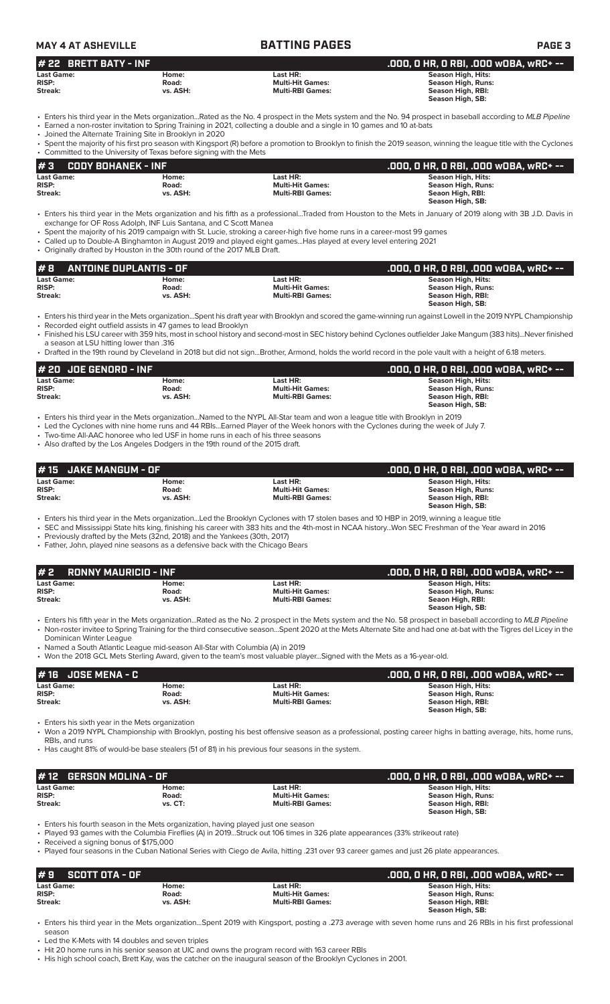| <b>MAY 4 AT ASHEVILLE</b> |          | <b>BATTING PAGES</b>    | <b>PAGE 3</b>                         |
|---------------------------|----------|-------------------------|---------------------------------------|
| $#$ 22 BRETT BATY - INF   |          |                         | .000. O HR. O RBI. .000 WOBA. wRC+ -- |
| <b>Last Game:</b>         | Home:    | Last HR:                | Season High, Hits:                    |
| <b>RISP:</b>              | Road:    | <b>Multi-Hit Games:</b> | Season High, Runs:                    |
| Streak:                   | vs. ASH: | <b>Multi-RBI Games:</b> | Season High, RBI:                     |

• Enters his third year in the Mets organization...Rated as the No. 4 prospect in the Mets system and the No. 94 prospect in baseball according to *MLB Pipeline* • Earned a non-roster invitation to Spring Training in 2021, collecting a double and a single in 10 games and 10 at-bats

• Joined the Alternate Training Site in Brooklyn in 2020

Spent the majority of his first pro season with Kingsport (R) before a promotion to Brooklyn to finish the 2019 season, winning the league title with the Cyclones • Committed to the University of Texas before signing with the Mets

| #3                | CODY BOHANEK - INF |                         | .000. 0 HR. 0 RBI. .000 w0BA. wRC+ -- |
|-------------------|--------------------|-------------------------|---------------------------------------|
| <b>Last Game:</b> | Home:              | Last HR:                | Season High, Hits:                    |
| <b>RISP:</b>      | Road:              | <b>Multi-Hit Games:</b> | Season High, Runs:                    |
| Streak:           | vs. ASH:           | <b>Multi-RBI Games:</b> | Seaon High, RBI:                      |
|                   |                    |                         | Season High, SB:                      |

- Enters his third year in the Mets organization and his fifth as a professional...Traded from Houston to the Mets in January of 2019 along with 3B J.D. Davis in exchange for OF Ross Adolph, INF Luis Santana, and C Scott Manea
- Spent the majority of his 2019 campaign with St. Lucie, stroking a career-high five home runs in a career-most 99 games
- Called up to Double-A Binghamton in August 2019 and played eight games...Has played at every level entering 2021 • Originally drafted by Houston in the 30th round of the 2017 MLB Draft.

| #8                | <b>ANTOINE DUPLANTIS - OF</b> |                         | .000, 0 HR, 0 RBI, .000 w0BA, wRC+ -- |
|-------------------|-------------------------------|-------------------------|---------------------------------------|
| <b>Last Game:</b> | Home:                         | Last HR:                | Season High, Hits:                    |
| <b>RISP:</b>      | Road:                         | <b>Multi-Hit Games:</b> | Season High, Runs:                    |
| Streak:           | vs. ASH:                      | <b>Multi-RBI Games:</b> | Season High, RBI:                     |
|                   |                               |                         | Season High, SB:                      |

• Enters his third year in the Mets organization...Spent his draft year with Brooklyn and scored the game-winning run against Lowell in the 2019 NYPL Championship • Recorded eight outfield assists in 47 games to lead Brooklyn

- Finished his LSU career with 359 hits, most in school history and second-most in SEC history behind Cyclones outfielder Jake Mangum (383 hits)...Never finished
- a season at LSU hitting lower than .316 • Drafted in the 19th round by Cleveland in 2018 but did not sign...Brother, Armond, holds the world record in the pole vault with a height of 6.18 meters.

| # 20 JOE GENORD - INF |          |                         | .000. O HR. O RBI. .000 WOBA. wRC+ -- |
|-----------------------|----------|-------------------------|---------------------------------------|
| <b>Last Game:</b>     | Home:    | Last HR:                | Season High, Hits:                    |
| <b>RISP:</b>          | Road:    | <b>Multi-Hit Games:</b> | Season High, Runs:                    |
| Streak:               | vs. ASH: | <b>Multi-RBI Games:</b> | Season High, RBI:                     |
|                       |          |                         | Season High, SB:                      |

• Enters his third year in the Mets organization...Named to the NYPL All-Star team and won a league title with Brooklyn in 2019

• Led the Cyclones with nine home runs and 44 RBIs...Earned Player of the Week honors with the Cyclones during the week of July 7.

- Two-time All-AAC honoree who led USF in home runs in each of his three seasons
- Also drafted by the Los Angeles Dodgers in the 19th round of the 2015 draft.

| $#15$ JAKE MANGUM - OF            |                |                                     | .000, 0 HR, 0 RBI, .000 w0BA, wRC+ --    |
|-----------------------------------|----------------|-------------------------------------|------------------------------------------|
| <b>Last Game:</b><br><b>RISP:</b> | Home:<br>Road: | Last HR:<br><b>Multi-Hit Games:</b> | Season High, Hits:<br>Season High, Runs: |
| Streak:                           | vs. ASH:       | <b>Multi-RBI Games:</b>             | Season High, RBI:<br>Season High, SB:    |

• Enters his third year in the Mets organization...Led the Brooklyn Cyclones with 17 stolen bases and 10 HBP in 2019, winning a league title

- SEC and Mississippi State hits king, finishing his career with 383 hits and the 4th-most in NCAA history...Won SEC Freshman of the Year award in 2016 • Previously drafted by the Mets (32nd, 2018) and the Yankees (30th, 2017)
- Father, John, played nine seasons as a defensive back with the Chicago Bears

| $# 2$ RONNY MAURICIO - INF                   |                            |                                                                  | .000, 0 HR, 0 RBI, .000 w0BA, wRC+ -- '                                                                                                                       |
|----------------------------------------------|----------------------------|------------------------------------------------------------------|---------------------------------------------------------------------------------------------------------------------------------------------------------------|
| <b>Last Game:</b><br><b>RISP:</b><br>Streak: | Home:<br>Road:<br>vs. ASH: | Last HR: .<br><b>Multi-Hit Games:</b><br><b>Multi-RBI Games:</b> | <b>Season High, Hits:</b><br>Season High, Runs:<br>Seaon High, RBI:<br>Season High, SB:                                                                       |
|                                              |                            |                                                                  | Figures bis fifth year in the Mets organization. Pated as the No. 2 prospect in the Mets system and the No. 58 prospect in baseball according to MLR Pineline |

- Enters his fifth year in the Mets organization...Rated as the No. 2 prospect in the Mets system and the No. 58 prospect in baseball according to *MLB Pipeline* • Non-roster invitee to Spring Training for the third consecutive season...Spent 2020 at the Mets Alternate Site and had one at-bat with the Tigres del Licey in the Dominican Winter League
- Named a South Atlantic League mid-season All-Star with Columbia (A) in 2019
- Won the 2018 GCL Mets Sterling Award, given to the team's most valuable player...Signed with the Mets as a 16-year-old.

|                   |          |                         | .000, 0 HR, 0 RBI, .000 w0BA, wRC+ -- |
|-------------------|----------|-------------------------|---------------------------------------|
| <b>Last Game:</b> | Home:    | Last HR:                | Season High, Hits:                    |
| <b>RISP:</b>      | Road:    | <b>Multi-Hit Games:</b> | Season High, Runs:                    |
| Streak:           | vs. ASH: | <b>Multi-RBI Games:</b> | Season High, RBI:                     |
|                   |          |                         | Season High, SB:                      |

• Enters his sixth year in the Mets organization

• Won a 2019 NYPL Championship with Brooklyn, posting his best offensive season as a professional, posting career highs in batting average, hits, home runs, RBIs, and runs

• Has caught 81% of would-be base stealers (51 of 81) in his previous four seasons in the system.

|                   |                                                       | .000. O HR. O RBI. .000 WOBA. wRC+ -- |
|-------------------|-------------------------------------------------------|---------------------------------------|
| <b>Last Game:</b> | Last HR:                                              | Season High, Hits:                    |
|                   | <b>Multi-Hit Games:</b>                               | Season High, Runs:                    |
|                   | <b>Multi-RBI Games:</b>                               | Season High, RBI:                     |
|                   |                                                       | Season High, SB:                      |
|                   | #12 GERSON MOLINA - OF<br>Home:<br>Road:<br>$vs. CT:$ |                                       |

• Enters his fourth season in the Mets organization, having played just one season

• Played 93 games with the Columbia Fireflies (A) in 2019...Struck out 106 times in 326 plate appearances (33% strikeout rate)

• Received a signing bonus of \$175,000

• Played four seasons in the Cuban National Series with Ciego de Avila, hitting .231 over 93 career games and just 26 plate appearances.

| #9<br>SCOTT OTA - OF |          |                         | .000, 0 HR, 0 RBI, .000 w0BA, wRC+ -- |
|----------------------|----------|-------------------------|---------------------------------------|
| <b>Last Game:</b>    | Home:    | Last HR:                | Season High, Hits:                    |
| <b>RISP:</b>         | Road:    | <b>Multi-Hit Games:</b> | Season High, Runs:                    |
| Streak:              | vs. ASH: | <b>Multi-RBI Games:</b> | Season High, RBI:                     |
|                      |          |                         | Season High, SB:                      |

• Enters his third year in the Mets organization...Spent 2019 with Kingsport, posting a .273 average with seven home runs and 26 RBIs in his first professional season

Led the K-Mets with 14 doubles and seven triples

• Hit 20 home runs in his senior season at UIC and owns the program record with 163 career RBIs

• His high school coach, Brett Kay, was the catcher on the inaugural season of the Brooklyn Cyclones in 2001.

**Season High, SB:**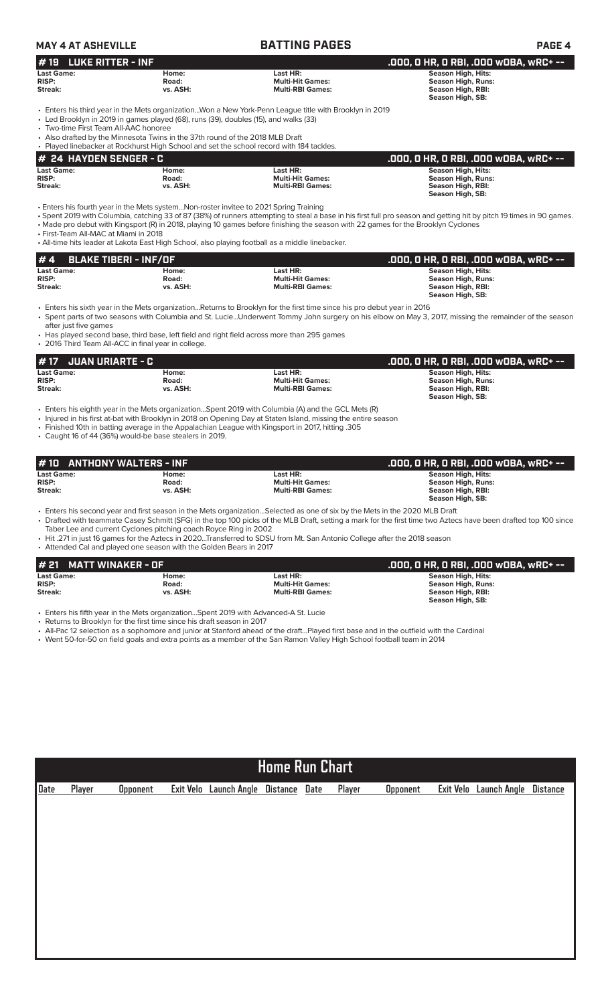| <b>MAY 4 AT ASHEVILLE</b>                                                                                                                                                                                      |                            | <b>BATTING PAGES</b>                                                                                                                                                                                                                                                                                                    | <b>PAGE 4</b>                                                                                                                                                         |
|----------------------------------------------------------------------------------------------------------------------------------------------------------------------------------------------------------------|----------------------------|-------------------------------------------------------------------------------------------------------------------------------------------------------------------------------------------------------------------------------------------------------------------------------------------------------------------------|-----------------------------------------------------------------------------------------------------------------------------------------------------------------------|
| <b>LUKE RITTER - INF</b><br># 19                                                                                                                                                                               |                            |                                                                                                                                                                                                                                                                                                                         | .000, O HR, O RBI, .000 wOBA, wRC+ --                                                                                                                                 |
| <b>Last Game:</b><br><b>RISP:</b><br>Streak:                                                                                                                                                                   | Home:<br>Road:<br>vs. ASH: | Last HR:<br><b>Multi-Hit Games:</b><br><b>Multi-RBI Games:</b>                                                                                                                                                                                                                                                          | <b>Season High, Hits:</b><br><b>Season High, Runs:</b><br>Season High, RBI:<br>Season High, SB:                                                                       |
| • Led Brooklyn in 2019 in games played (68), runs (39), doubles (15), and walks (33)<br>• Two-time First Team All-AAC honoree<br>• Also drafted by the Minnesota Twins in the 37th round of the 2018 MLB Draft |                            | Enters his third year in the Mets organizationWon a New York-Penn League title with Brooklyn in 2019<br>• Played linebacker at Rockhurst High School and set the school record with 184 tackles.                                                                                                                        |                                                                                                                                                                       |
| <b>24 HAYDEN SENGER - C</b><br>#                                                                                                                                                                               |                            |                                                                                                                                                                                                                                                                                                                         | .000, 0 HR, 0 RBI, .000 w0BA, wRC+ --                                                                                                                                 |
| <b>Last Game:</b><br><b>RISP:</b><br><b>Streak:</b>                                                                                                                                                            | Home:<br>Road:<br>vs. ASH: | Last HR:<br><b>Multi-Hit Games:</b><br><b>Multi-RBI Games:</b>                                                                                                                                                                                                                                                          | <b>Season High, Hits:</b><br><b>Season High, Runs:</b><br>Season High, RBI:<br>Season High, SB:                                                                       |
| • Enters his fourth year in the Mets systemNon-roster invitee to 2021 Spring Training<br>• First-Team All-MAC at Miami in 2018                                                                                 |                            | • Made pro debut with Kingsport (R) in 2018, playing 10 games before finishing the season with 22 games for the Brooklyn Cyclones<br>• All-time hits leader at Lakota East High School, also playing football as a middle linebacker.                                                                                   | • Spent 2019 with Columbia, catching 33 of 87 (38%) of runners attempting to steal a base in his first full pro season and getting hit by pitch 19 times in 90 games. |
| <b>BLAKE TIBERI - INF/OF</b><br># 4                                                                                                                                                                            |                            |                                                                                                                                                                                                                                                                                                                         | .000, O HR, O RBI, .000 wOBA, wRC+ --                                                                                                                                 |
| <b>Last Game:</b><br><b>RISP:</b><br><b>Streak:</b>                                                                                                                                                            | Home:<br>Road:<br>vs. ASH: | Last HR:<br><b>Multi-Hit Games:</b><br><b>Multi-RBI Games:</b>                                                                                                                                                                                                                                                          | <b>Season High, Hits:</b><br><b>Season High, Runs:</b><br>Season High, RBI:<br>Season High, SB:                                                                       |
| after just five games<br>• 2016 Third Team All-ACC in final year in college.                                                                                                                                   |                            | • Enters his sixth year in the Mets organizationReturns to Brooklyn for the first time since his pro debut year in 2016<br>• Has played second base, third base, left field and right field across more than 295 games                                                                                                  | • Spent parts of two seasons with Columbia and St. LucieUnderwent Tommy John surgery on his elbow on May 3, 2017, missing the remainder of the season                 |
| <b>JUAN URIARTE - C</b><br>#17                                                                                                                                                                                 |                            |                                                                                                                                                                                                                                                                                                                         | .000, 0 HR, 0 RBI, .000 w0BA, wRC+ --                                                                                                                                 |
| <b>Last Game:</b><br><b>RISP:</b><br>Streak:                                                                                                                                                                   | Home:<br>Road:<br>vs. ASH: | Last HR:<br><b>Multi-Hit Games:</b><br><b>Multi-RBI Games:</b>                                                                                                                                                                                                                                                          | <b>Season High, Hits:</b><br><b>Season High, Runs:</b><br>Season High, RBI:<br>Season High, SB:                                                                       |
| • Caught 16 of 44 (36%) would-be base stealers in 2019.                                                                                                                                                        |                            | Enters his eighth year in the Mets organizationSpent 2019 with Columbia (A) and the GCL Mets (R)<br>• Injured in his first at-bat with Brooklyn in 2018 on Opening Day at Staten Island, missing the entire season<br>. Finished 10th in batting average in the Appalachian League with Kingsport in 2017, hitting .305 |                                                                                                                                                                       |
| <b>ANTHONY WALTERS - INF</b>                                                                                                                                                                                   |                            |                                                                                                                                                                                                                                                                                                                         |                                                                                                                                                                       |
| # 10<br><b>Last Game:</b>                                                                                                                                                                                      | Home:                      | Last HR:                                                                                                                                                                                                                                                                                                                | .000, 0 HR, 0 RBI, .000 w0BA, wRC+ --<br><b>Season High, Hits:</b>                                                                                                    |
| <b>RISP:</b><br>Streak:                                                                                                                                                                                        | Road:<br>vs. ASH:          | <b>Multi-Hit Games:</b><br><b>Multi-RBI Games:</b>                                                                                                                                                                                                                                                                      | Season High, Runs:<br>Season High, RBI:<br>Season High, SB:                                                                                                           |
| Taber Lee and current Cyclones pitching coach Royce Ring in 2002<br>• Attended Cal and played one season with the Golden Bears in 2017                                                                         |                            | • Enters his second year and first season in the Mets organizationSelected as one of six by the Mets in the 2020 MLB Draft<br>• Hit .271 in just 16 games for the Aztecs in 2020Transferred to SDSU from Mt. San Antonio College after the 2018 season                                                                  | • Drafted with teammate Casey Schmitt (SFG) in the top 100 picks of the MLB Draft, setting a mark for the first time two Aztecs have been drafted top 100 since       |
| #21<br><b>MATT WINAKER - OF</b>                                                                                                                                                                                |                            |                                                                                                                                                                                                                                                                                                                         | .000, O HR, O RBI, .000 wOBA, wRC+ --                                                                                                                                 |
| <b>Last Game:</b><br><b>RISP:</b><br>Streak:                                                                                                                                                                   | Home:<br>Road:<br>vs. ASH: | Last HR:<br><b>Multi-Hit Games:</b><br><b>Multi-RBI Games:</b>                                                                                                                                                                                                                                                          | <b>Season High, Hits:</b><br><b>Season High, Runs:</b><br>Season High, RBI:<br>Season High, SB:                                                                       |
| • Enters his fifth year in the Mets organizationSpent 2019 with Advanced-A St. Lucie<br>• Returns to Brooklyn for the first time since his draft season in 2017                                                |                            | • All-Pac 12 selection as a sophomore and junior at Stanford ahead of the draftPlayed first base and in the outfield with the Cardinal<br>• Went 50-for-50 on field goals and extra points as a member of the San Ramon Valley High School football team in 2014                                                        |                                                                                                                                                                       |
|                                                                                                                                                                                                                |                            |                                                                                                                                                                                                                                                                                                                         |                                                                                                                                                                       |

| <b>Home Run Chart</b> |        |                 |  |                        |                 |             |        |                 |           |                     |                 |
|-----------------------|--------|-----------------|--|------------------------|-----------------|-------------|--------|-----------------|-----------|---------------------|-----------------|
| Date                  | Player | <b>Opponent</b> |  | Exit Velo Launch Angle | <b>Distance</b> | <b>Date</b> | Player | <b>Opponent</b> | Exit Velo | <b>Launch Angle</b> | <b>Distance</b> |
|                       |        |                 |  |                        |                 |             |        |                 |           |                     |                 |
|                       |        |                 |  |                        |                 |             |        |                 |           |                     |                 |
|                       |        |                 |  |                        |                 |             |        |                 |           |                     |                 |
|                       |        |                 |  |                        |                 |             |        |                 |           |                     |                 |
|                       |        |                 |  |                        |                 |             |        |                 |           |                     |                 |
|                       |        |                 |  |                        |                 |             |        |                 |           |                     |                 |
|                       |        |                 |  |                        |                 |             |        |                 |           |                     |                 |
|                       |        |                 |  |                        |                 |             |        |                 |           |                     |                 |
|                       |        |                 |  |                        |                 |             |        |                 |           |                     |                 |
|                       |        |                 |  |                        |                 |             |        |                 |           |                     |                 |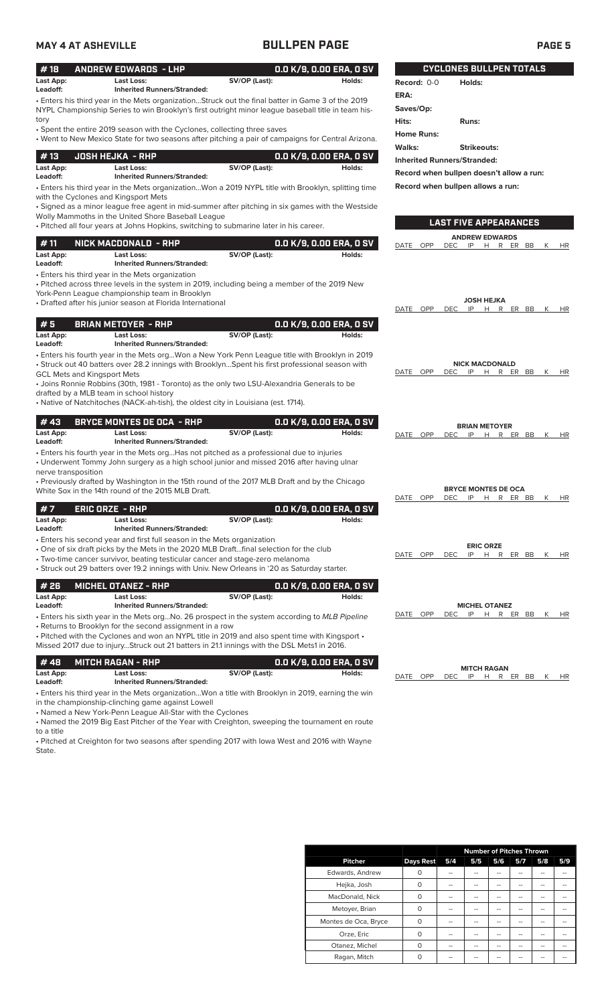| <b>MAY 4 AT ASHEVILLE</b>          |                                                                                                                               | <b>BULLPEN PAGE</b>                                                                                                                                                                                                                                                                                |                                   |                                    | <b>PAGE 5</b>                                                       |
|------------------------------------|-------------------------------------------------------------------------------------------------------------------------------|----------------------------------------------------------------------------------------------------------------------------------------------------------------------------------------------------------------------------------------------------------------------------------------------------|-----------------------------------|------------------------------------|---------------------------------------------------------------------|
| #18                                | <b>ANDREW EDWARDS - LHP</b>                                                                                                   |                                                                                                                                                                                                                                                                                                    | 0.0 K/9, 0.00 ERA, 0 SV           |                                    | <b>CYCLONES BULLPEN TOTALS</b>                                      |
| Last App:<br>Leadoff:              | <b>Last Loss:</b><br><b>Inherited Runners/Stranded:</b>                                                                       | SV/OP (Last):                                                                                                                                                                                                                                                                                      | Holds:                            | Record: 0-0                        | Holds:                                                              |
|                                    |                                                                                                                               | • Enters his third year in the Mets organizationStruck out the final batter in Game 3 of the 2019<br>NYPL Championship Series to win Brooklyn's first outright minor league baseball title in team his-                                                                                            |                                   | ERA:<br>Saves/Op:                  |                                                                     |
| tory                               | • Spent the entire 2019 season with the Cyclones, collecting three saves                                                      | • Went to New Mexico State for two seasons after pitching a pair of campaigns for Central Arizona.                                                                                                                                                                                                 |                                   | Hits:<br><b>Home Runs:</b>         | Runs:                                                               |
| #13                                |                                                                                                                               |                                                                                                                                                                                                                                                                                                    | 0.0 K/9, 0.00 ERA, 0 SV           | Walks:                             | <b>Strikeouts:</b>                                                  |
| Last App:<br>Leadoff:              | <b>JOSH HEJKA - RHP</b><br><b>Last Loss:</b><br><b>Inherited Runners/Stranded:</b>                                            | SV/OP (Last):                                                                                                                                                                                                                                                                                      | Holds:                            | <b>Inherited Runners/Stranded:</b> | Record when bullpen doesn't allow a run:                            |
|                                    | with the Cyclones and Kingsport Mets<br>Wolly Mammoths in the United Shore Baseball League                                    | . Enters his third year in the Mets organizationWon a 2019 NYPL title with Brooklyn, splitting time<br>• Signed as a minor league free agent in mid-summer after pitching in six games with the Westside<br>. Pitched all four years at Johns Hopkins, switching to submarine later in his career. |                                   |                                    | Record when bullpen allows a run:<br><b>LAST FIVE APPEARANCES</b>   |
| #11                                | NICK MACDONALD - RHP                                                                                                          |                                                                                                                                                                                                                                                                                                    | 0.0 K/9, 0.00 ERA, 0 SV           | DATE<br>OPP<br><b>DEC</b>          | <b>ANDREW EDWARDS</b><br>IP<br>H R ER BB<br>К<br>HR                 |
| Last App:<br>Leadoff:              | Last Loss:<br><b>Inherited Runners/Stranded:</b><br>• Enters his third year in the Mets organization                          | SV/OP (Last):                                                                                                                                                                                                                                                                                      | Holds:                            |                                    |                                                                     |
|                                    | York-Penn League championship team in Brooklyn                                                                                | • Pitched across three levels in the system in 2019, including being a member of the 2019 New                                                                                                                                                                                                      |                                   |                                    |                                                                     |
|                                    | • Drafted after his junior season at Florida International                                                                    |                                                                                                                                                                                                                                                                                                    |                                   | DATE OPP                           | <b>JOSH HEJKA</b><br>IP H R ER BB K<br>DEC.<br>HR                   |
| #5                                 | <b>BRIAN METOYER - RHP</b>                                                                                                    |                                                                                                                                                                                                                                                                                                    | 0.0 K/9, 0.00 ERA, 0 SV           |                                    |                                                                     |
| Last App:<br>Leadoff:              | <b>Last Loss:</b><br><b>Inherited Runners/Stranded:</b>                                                                       | SV/OP (Last):                                                                                                                                                                                                                                                                                      | Holds:                            |                                    |                                                                     |
| <b>GCL Mets and Kingsport Mets</b> | drafted by a MLB team in school history<br>• Native of Natchitoches (NACK-ah-tish), the oldest city in Louisiana (est. 1714). | • Enters his fourth year in the Mets orgWon a New York Penn League title with Brooklyn in 2019<br>• Struck out 40 batters over 28.2 innings with BrooklynSpent his first professional season with<br>• Joins Ronnie Robbins (30th, 1981 - Toronto) as the only two LSU-Alexandria Generals to be   |                                   | DATE OPP<br><b>DEC</b>             | <b>NICK MACDONALD</b><br>IP<br>H R ER BB K<br>HR                    |
| #43                                | <b>BRYCE MONTES DE OCA - RHP</b>                                                                                              |                                                                                                                                                                                                                                                                                                    | 0.0 K/9, 0.00 ERA, 0 SV           |                                    |                                                                     |
| Last App:<br>Leadoff:              | Last Loss:<br><b>Inherited Runners/Stranded:</b>                                                                              | SV/OP (Last):                                                                                                                                                                                                                                                                                      | Holds:                            | DATE OPP                           | <b>BRIAN METOYER</b><br>IP<br><b>DEC</b><br>R ER BB<br>H<br>K<br>HR |
| nerve transposition                |                                                                                                                               | • Enters his fourth year in the Mets org Has not pitched as a professional due to injuries<br>• Underwent Tommy John surgery as a high school junior and missed 2016 after having ulnar                                                                                                            |                                   |                                    |                                                                     |
|                                    | White Sox in the 14th round of the 2015 MLB Draft.                                                                            | • Previously drafted by Washington in the 15th round of the 2017 MLB Draft and by the Chicago                                                                                                                                                                                                      |                                   | DATE OPP                           | <b>BRYCE MONTES DE OCA</b><br>DEC<br>IP<br>R ER BB<br>H.<br>K<br>HR |
| #7<br>Last App:<br>Leadoff:        | <b>ERIC ORZE - RHP</b><br>Last Loss:<br><b>Inherited Runners/Stranded:</b>                                                    | SV/OP (Last):                                                                                                                                                                                                                                                                                      | 0.0 K/9, 0.00 ERA, 0 SV<br>Holds: |                                    |                                                                     |
|                                    | • Enters his second year and first full season in the Mets organization                                                       | • One of six draft picks by the Mets in the 2020 MLB Draftfinal selection for the club<br>• Two-time cancer survivor, beating testicular cancer and stage-zero melanoma<br>• Struck out 29 batters over 19.2 innings with Univ. New Orleans in '20 as Saturday starter.                            |                                   | DATE OPP<br><b>DEC</b>             | <b>ERIC ORZE</b><br>IP<br>H R ER BB<br>K<br>HR                      |
| #26                                | <b>MICHEL OTANEZ - RHP</b>                                                                                                    |                                                                                                                                                                                                                                                                                                    | 0.0 K/9, 0.00 ERA, 0 SV           |                                    |                                                                     |
| Last App:<br>Leadoff:              | <b>Last Loss:</b><br><b>Inherited Runners/Stranded:</b>                                                                       | SV/OP (Last):                                                                                                                                                                                                                                                                                      | Holds:                            |                                    | <b>MICHEL OTANEZ</b>                                                |
|                                    | • Returns to Brooklyn for the second assignment in a row                                                                      | • Enters his sixth year in the Mets org No. 26 prospect in the system according to MLB Pipeline<br>. Pitched with the Cyclones and won an NYPL title in 2019 and also spent time with Kingsport .<br>Missed 2017 due to injuryStruck out 21 batters in 21.1 innings with the DSL Mets1 in 2016.    |                                   | DATE OPP                           | IP<br>H R ER BB<br>DEC<br>K<br>HR                                   |
| #48                                | <b>MITCH RAGAN - RHP</b>                                                                                                      |                                                                                                                                                                                                                                                                                                    | 0.0 K/9, 0.00 ERA, 0 SV           |                                    |                                                                     |
| Last App:<br>Leadoff:              | Last Loss:<br><b>Inherited Runners/Stranded:</b>                                                                              | SV/OP (Last):                                                                                                                                                                                                                                                                                      | Holds:                            | DATE OPP<br><b>DEC</b>             | <b>MITCH RAGAN</b><br>IP<br>H R ER BB K<br><b>HR</b>                |
|                                    |                                                                                                                               | • Enters his third year in the Mets organization Won a title with Brooklyn in 2019, earning the win                                                                                                                                                                                                |                                   |                                    |                                                                     |

• Enters his third year in the Mets organization...Won a title with Brooklyn in 2019, earning the win in the championship-clinching game against Lowell

• Named a New York-Penn League All-Star with the Cyclones

• Named the 2019 Big East Pitcher of the Year with Creighton, sweeping the tournament en route to a title

• Pitched at Creighton for two seasons after spending 2017 with Iowa West and 2016 with Wayne State.

|                      |                  | <b>Number of Pitches Thrown</b> |     |     |     |     |     |
|----------------------|------------------|---------------------------------|-----|-----|-----|-----|-----|
| <b>Pitcher</b>       | <b>Days Rest</b> | 5/4                             | 5/5 | 5/6 | 5/7 | 5/8 | 5/9 |
| Edwards, Andrew      | O                | --                              | --  |     |     |     |     |
| Hejka, Josh          | O                | --                              | --  | --  |     | --  |     |
| MacDonald, Nick      | O                | --                              | --  | --  | --  | --  |     |
| Metoyer, Brian       | O                | --                              | --  | --  | --  | --  |     |
| Montes de Oca, Bryce | O                | --                              | --  | --  | --  | --  |     |
| Orze, Eric           | O                | --                              | --  | --  | --  | --  |     |
| Otanez, Michel       | $\Omega$         | --                              | --  | --  |     | --  |     |
| Ragan, Mitch         | Ω                | --                              | --  | --  | --  | --  | --  |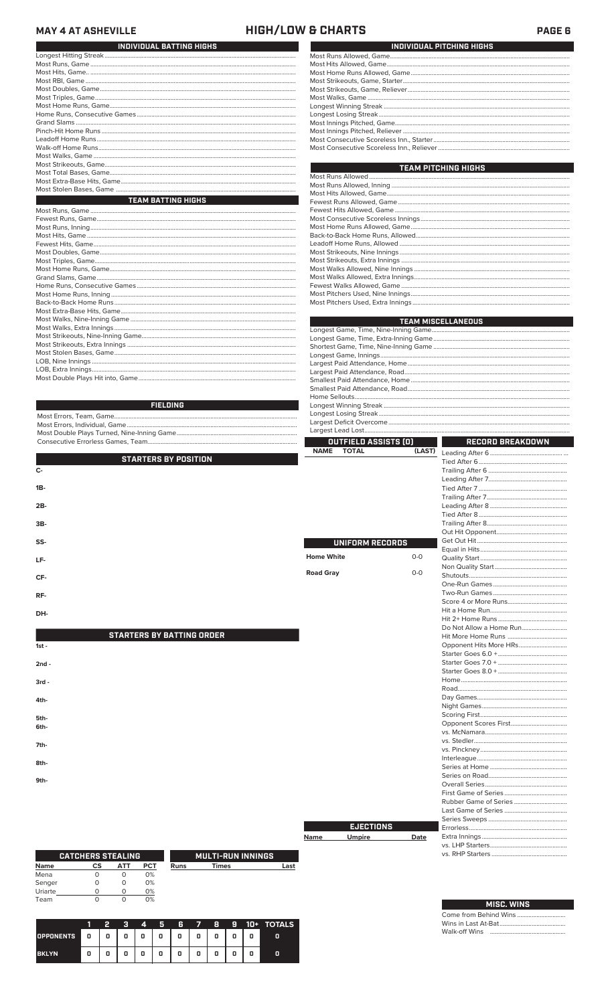#### **MAY 4 AT ASHEVILLE**

### **HIGH/LOW & CHARTS**

PAGE 6

| INDIVIDUAL BATTING HIGHS  |
|---------------------------|
|                           |
|                           |
|                           |
|                           |
|                           |
|                           |
|                           |
|                           |
|                           |
|                           |
|                           |
|                           |
|                           |
|                           |
|                           |
|                           |
|                           |
| <b>TEAM BATTING HIGHS</b> |
|                           |
|                           |
|                           |
|                           |
|                           |
|                           |

| INDIVIDUAL PITCHING HIGHS |
|---------------------------|
|                           |
|                           |
|                           |
|                           |
|                           |
|                           |
|                           |
|                           |
|                           |
|                           |
|                           |
|                           |
|                           |

| <b>TEAM PITCHING HIGHS</b> |
|----------------------------|
|                            |
|                            |
|                            |
|                            |
|                            |
|                            |
|                            |
|                            |
|                            |
|                            |
|                            |
|                            |
|                            |
|                            |
|                            |
|                            |

First Game of Series. Rubber Game of Series Series Sweeps.

Errorless..

Extra Innings..

vs. LHP Starters...<br>vs. RHP Starters...

Come from Behind Wins.<br>Wins in Last At-Bat............

Walk-off Wins

MISC. WINS

Date

**EJECTIONS** 

**Umpire** 

**Name** 

|                 | <b>TEAM MISCELLANEOUS</b> |
|-----------------|---------------------------|
|                 |                           |
|                 |                           |
|                 |                           |
|                 |                           |
|                 |                           |
|                 |                           |
|                 |                           |
|                 |                           |
|                 |                           |
| <b>FIELDING</b> |                           |
|                 |                           |

| OUTFIELD ASSISTS [0]<br>RECORD BREAKDOWN |  |
|------------------------------------------|--|
|                                          |  |

|                                  | NAME<br><b>IOIAL</b> | (LASI) |  |
|----------------------------------|----------------------|--------|--|
| <b>STARTERS BY POSITION</b>      |                      |        |  |
| c-                               |                      |        |  |
|                                  |                      |        |  |
| 1B-                              |                      |        |  |
|                                  |                      |        |  |
| 2B-                              |                      |        |  |
|                                  |                      |        |  |
| 3B-                              |                      |        |  |
|                                  |                      |        |  |
| SS-                              | UNIFORM RECORDS      |        |  |
|                                  |                      |        |  |
| LF-                              | <b>Home White</b>    | $O-O$  |  |
|                                  |                      |        |  |
| CF-                              | <b>Road Gray</b>     | $O-O$  |  |
|                                  |                      |        |  |
| RF-                              |                      |        |  |
|                                  |                      |        |  |
| DH-                              |                      |        |  |
|                                  |                      |        |  |
|                                  |                      |        |  |
| <b>STARTERS BY BATTING ORDER</b> |                      |        |  |
| $1st -$                          |                      |        |  |
|                                  |                      |        |  |
| $2nd -$                          |                      |        |  |
|                                  |                      |        |  |
| $3rd -$                          |                      |        |  |
|                                  |                      |        |  |
| 4th-                             |                      |        |  |
|                                  |                      |        |  |
| 5th-                             |                      |        |  |
| 6th-                             |                      |        |  |
|                                  |                      |        |  |
| 7th-                             |                      |        |  |
|                                  |                      |        |  |
| 8th-                             |                      |        |  |
|                                  |                      |        |  |
| 9th-                             |                      |        |  |
|                                  |                      |        |  |

|             | <b>CATCHERS STEALING</b> |     |            | <b>MULTI-RUN INNINGS</b> |              |      |  |  |  |
|-------------|--------------------------|-----|------------|--------------------------|--------------|------|--|--|--|
| <b>Name</b> | СS                       | ATT | <b>PCT</b> | Runs                     | <b>Times</b> | Last |  |  |  |
| Mena        |                          |     | 0%         |                          |              |      |  |  |  |
| Senger      |                          |     | 0%         |                          |              |      |  |  |  |
| Uriarte     |                          |     | 0%         |                          |              |      |  |  |  |
| Team        |                          |     | 0%         |                          |              |      |  |  |  |

|              |   |   | -3 | 4 | 5              |         | 6 7 | B |   |   | $9$ $10+$ TOTALS |
|--------------|---|---|----|---|----------------|---------|-----|---|---|---|------------------|
| OPPONENTS 0  |   | 0 | 0  | 0 | $\overline{0}$ | $\circ$ | 0   | 0 | 0 | 0 | о                |
| <b>BKLYN</b> | 0 |   | 0  | 0 | 0              | 0       | 0   | 0 | o | 0 |                  |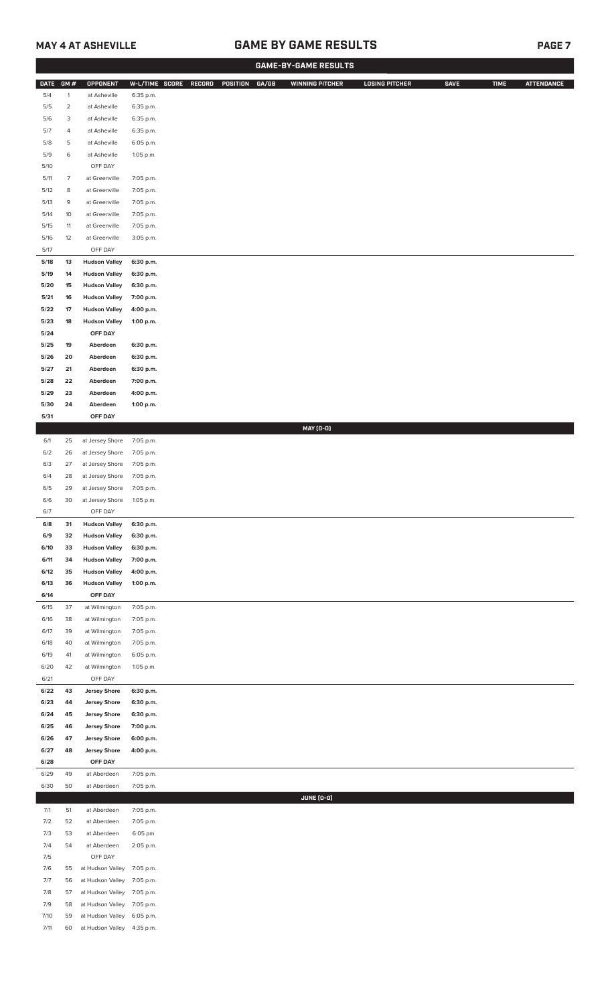## **MAY 4 AT ASHEVILLE GAME BY GAME RESULTS PAGE 7**

|              | <b>GAME-BY-GAME RESULTS</b> |                                              |                        |        |          |       |                        |                       |  |             |             |                   |
|--------------|-----------------------------|----------------------------------------------|------------------------|--------|----------|-------|------------------------|-----------------------|--|-------------|-------------|-------------------|
| <b>DATE</b>  | GM#                         | <b>OPPONENT</b>                              | W-L/TIME SCORE         | RECORD | POSITION | GA/GB | <b>WINNING PITCHER</b> | <b>LOSING PITCHER</b> |  | <b>SAVE</b> | <b>TIME</b> | <b>ATTENDANCE</b> |
| 5/4          | $\mathbf{1}$                | at Asheville                                 | 6:35 p.m.              |        |          |       |                        |                       |  |             |             |                   |
| $5/5$        | $\overline{2}$              | at Asheville                                 | 6:35 p.m.              |        |          |       |                        |                       |  |             |             |                   |
| 5/6<br>5/7   | 3<br>4                      | at Asheville<br>at Asheville                 | 6:35 p.m.<br>6:35 p.m. |        |          |       |                        |                       |  |             |             |                   |
| 5/8          | 5                           | at Asheville                                 | 6:05 p.m.              |        |          |       |                        |                       |  |             |             |                   |
| 5/9          | 6                           | at Asheville                                 | 1:05 p.m.              |        |          |       |                        |                       |  |             |             |                   |
| 5/10         |                             | OFF DAY                                      |                        |        |          |       |                        |                       |  |             |             |                   |
| 5/11         | $\overline{7}$              | at Greenville                                | 7:05 p.m.              |        |          |       |                        |                       |  |             |             |                   |
| 5/12<br>5/13 | 8<br>9                      | at Greenville<br>at Greenville               | 7:05 p.m.<br>7:05 p.m. |        |          |       |                        |                       |  |             |             |                   |
| 5/14         | $10$                        | at Greenville                                | 7:05 p.m.              |        |          |       |                        |                       |  |             |             |                   |
| 5/15         | 11                          | at Greenville                                | 7:05 p.m.              |        |          |       |                        |                       |  |             |             |                   |
| 5/16         | 12                          | at Greenville                                | 3:05 p.m.              |        |          |       |                        |                       |  |             |             |                   |
| 5/17         |                             | OFF DAY                                      |                        |        |          |       |                        |                       |  |             |             |                   |
| 5/18<br>5/19 | 13<br>14                    | <b>Hudson Valley</b>                         | 6:30 p.m.              |        |          |       |                        |                       |  |             |             |                   |
| 5/20         | 15                          | <b>Hudson Valley</b><br><b>Hudson Valley</b> | 6:30 p.m.<br>6:30 p.m. |        |          |       |                        |                       |  |             |             |                   |
| 5/21         | 16                          | <b>Hudson Valley</b>                         | 7:00 p.m.              |        |          |       |                        |                       |  |             |             |                   |
| 5/22         | 17                          | <b>Hudson Valley</b>                         | 4:00 p.m.              |        |          |       |                        |                       |  |             |             |                   |
| 5/23         | 18                          | <b>Hudson Valley</b>                         | 1:00 p.m.              |        |          |       |                        |                       |  |             |             |                   |
| 5/24         |                             | OFF DAY                                      |                        |        |          |       |                        |                       |  |             |             |                   |
| 5/25<br>5/26 | 19<br>20                    | Aberdeen<br>Aberdeen                         | 6:30 p.m.<br>6:30 p.m. |        |          |       |                        |                       |  |             |             |                   |
| 5/27         | 21                          | Aberdeen                                     | 6:30 p.m.              |        |          |       |                        |                       |  |             |             |                   |
| 5/28         | 22                          | Aberdeen                                     | 7:00 p.m.              |        |          |       |                        |                       |  |             |             |                   |
| 5/29         | 23                          | Aberdeen                                     | 4:00 p.m.              |        |          |       |                        |                       |  |             |             |                   |
| 5/30         | 24                          | Aberdeen                                     | 1:00 p.m.              |        |          |       |                        |                       |  |             |             |                   |
| 5/31         |                             | OFF DAY                                      |                        |        |          |       | <b>MAY (0-0)</b>       |                       |  |             |             |                   |
| 6/1          | 25                          | at Jersey Shore                              | 7:05 p.m.              |        |          |       |                        |                       |  |             |             |                   |
| 6/2          | 26                          | at Jersey Shore                              | 7:05 p.m.              |        |          |       |                        |                       |  |             |             |                   |
| 6/3          | 27                          | at Jersey Shore                              | 7:05 p.m.              |        |          |       |                        |                       |  |             |             |                   |
| 6/4          | 28                          | at Jersey Shore                              | 7:05 p.m.              |        |          |       |                        |                       |  |             |             |                   |
| 6/5<br>6/6   | 29<br>30                    | at Jersey Shore<br>at Jersey Shore           | 7:05 p.m.<br>1:05 p.m. |        |          |       |                        |                       |  |             |             |                   |
| 6/7          |                             | OFF DAY                                      |                        |        |          |       |                        |                       |  |             |             |                   |
| 6/8          | 31                          | <b>Hudson Valley</b>                         | 6:30 p.m.              |        |          |       |                        |                       |  |             |             |                   |
| 6/9          | 32                          | <b>Hudson Valley</b>                         | 6:30 p.m.              |        |          |       |                        |                       |  |             |             |                   |
| 6/10         | 33                          | <b>Hudson Valley</b>                         | 6:30 p.m.              |        |          |       |                        |                       |  |             |             |                   |
| 6/11<br>6/12 | 34<br>35                    | <b>Hudson Valley</b><br><b>Hudson Valley</b> | 7:00 p.m.<br>4:00 p.m. |        |          |       |                        |                       |  |             |             |                   |
| 6/13         | 36                          | <b>Hudson Valley</b>                         | 1:00 p.m.              |        |          |       |                        |                       |  |             |             |                   |
| 6/14         |                             | OFF DAY                                      |                        |        |          |       |                        |                       |  |             |             |                   |
| 6/15         | 37                          | at Wilmington                                | 7:05 p.m.              |        |          |       |                        |                       |  |             |             |                   |
| 6/16<br>6/17 | 38<br>39                    | at Wilmington<br>at Wilmington               | 7:05 p.m.<br>7:05 p.m. |        |          |       |                        |                       |  |             |             |                   |
| 6/18         | 40                          | at Wilmington                                | 7:05 p.m.              |        |          |       |                        |                       |  |             |             |                   |
| 6/19         | 41                          | at Wilmington                                | 6:05 p.m.              |        |          |       |                        |                       |  |             |             |                   |
| 6/20         | 42                          | at Wilmington                                | 1:05 p.m.              |        |          |       |                        |                       |  |             |             |                   |
| 6/21         |                             | OFF DAY                                      |                        |        |          |       |                        |                       |  |             |             |                   |
| 6/22<br>6/23 | 43<br>44                    | <b>Jersey Shore</b><br><b>Jersey Shore</b>   | 6:30 p.m.<br>6:30 p.m. |        |          |       |                        |                       |  |             |             |                   |
| 6/24         | 45                          | <b>Jersey Shore</b>                          | 6:30 p.m.              |        |          |       |                        |                       |  |             |             |                   |
| 6/25         | 46                          | <b>Jersey Shore</b>                          | 7:00 p.m.              |        |          |       |                        |                       |  |             |             |                   |
| 6/26         | 47                          | <b>Jersey Shore</b>                          | 6:00 p.m.              |        |          |       |                        |                       |  |             |             |                   |
| 6/27<br>6/28 | 48                          | <b>Jersey Shore</b><br>OFF DAY               | 4:00 p.m.              |        |          |       |                        |                       |  |             |             |                   |
| 6/29         | 49                          | at Aberdeen                                  | 7:05 p.m.              |        |          |       |                        |                       |  |             |             |                   |
| 6/30         | 50                          | at Aberdeen                                  | 7:05 p.m.              |        |          |       |                        |                       |  |             |             |                   |
|              |                             |                                              |                        |        |          |       | <b>JUNE (0-0)</b>      |                       |  |             |             |                   |
| 7/1          | 51                          | at Aberdeen                                  | 7:05 p.m.              |        |          |       |                        |                       |  |             |             |                   |
| 7/2<br>7/3   | 52<br>53                    | at Aberdeen<br>at Aberdeen                   | 7:05 p.m.<br>6:05 pm.  |        |          |       |                        |                       |  |             |             |                   |
| 7/4          | 54                          | at Aberdeen                                  | 2:05 p.m.              |        |          |       |                        |                       |  |             |             |                   |
| 7/5          |                             | OFF DAY                                      |                        |        |          |       |                        |                       |  |             |             |                   |
| 7/6          | 55                          | at Hudson Valley                             | 7:05 p.m.              |        |          |       |                        |                       |  |             |             |                   |
| 7/7          | 56                          | at Hudson Valley                             | 7:05 p.m.              |        |          |       |                        |                       |  |             |             |                   |
| 7/8<br>7/9   | 57<br>58                    | at Hudson Valley<br>at Hudson Valley         | 7:05 p.m.<br>7:05 p.m. |        |          |       |                        |                       |  |             |             |                   |
| 7/10         | 59                          | at Hudson Valley                             | 6:05 p.m.              |        |          |       |                        |                       |  |             |             |                   |
| 7/11         | 60                          | at Hudson Valley 4:35 p.m.                   |                        |        |          |       |                        |                       |  |             |             |                   |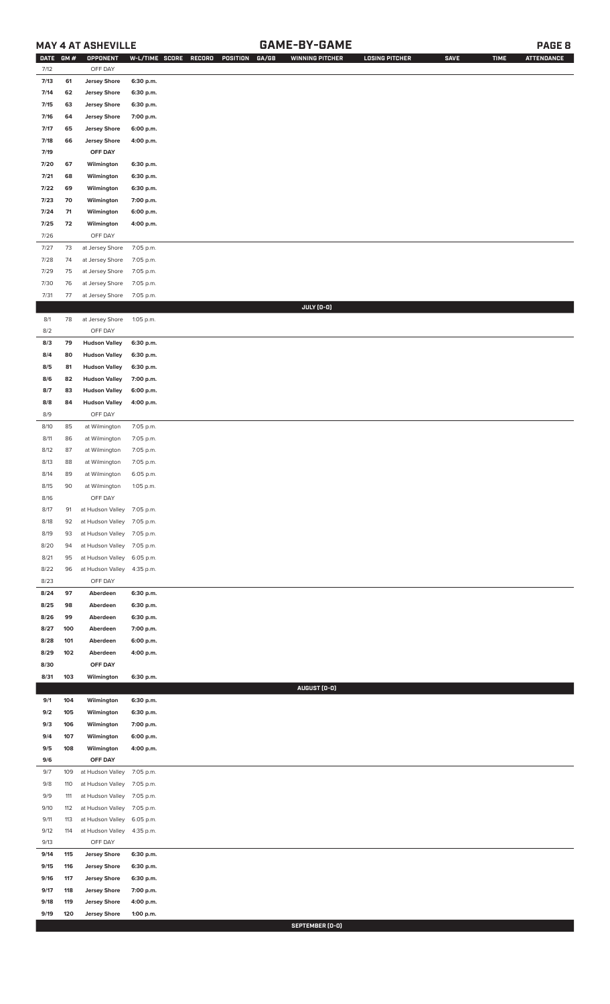## **MAY 4 AT ASHEVILLE GAME-BY-GAME PAGE 8**

| <b>DATE</b> | GM# | OPPONENT                   | W-L/TIME SCORE | GA/GB<br>RECORD<br>POSITION | <b>WINNING PITCHER</b> | <b>LOSING PITCHER</b> | <b>SAVE</b> | <b>TIME</b> | <b>ATTENDANCE</b> |
|-------------|-----|----------------------------|----------------|-----------------------------|------------------------|-----------------------|-------------|-------------|-------------------|
| 7/12        |     | OFF DAY                    |                |                             |                        |                       |             |             |                   |
| 7/13        | 61  | <b>Jersey Shore</b>        | 6:30 p.m.      |                             |                        |                       |             |             |                   |
| 7/14        | 62  | <b>Jersey Shore</b>        | 6:30 p.m.      |                             |                        |                       |             |             |                   |
| 7/15        | 63  | <b>Jersey Shore</b>        | 6:30 p.m.      |                             |                        |                       |             |             |                   |
| 7/16        | 64  | <b>Jersey Shore</b>        | 7:00 p.m.      |                             |                        |                       |             |             |                   |
| 7/17        | 65  | <b>Jersey Shore</b>        | 6:00 p.m.      |                             |                        |                       |             |             |                   |
| 7/18        |     |                            | 4:00 p.m.      |                             |                        |                       |             |             |                   |
|             | 66  | <b>Jersey Shore</b>        |                |                             |                        |                       |             |             |                   |
| 7/19        |     | OFF DAY                    |                |                             |                        |                       |             |             |                   |
| 7/20        | 67  | Wilmington                 | 6:30 p.m.      |                             |                        |                       |             |             |                   |
| 7/21        | 68  | Wilmington                 | 6:30 p.m.      |                             |                        |                       |             |             |                   |
| 7/22        | 69  | Wilmington                 | 6:30 p.m.      |                             |                        |                       |             |             |                   |
| 7/23        | 70  | Wilmington                 | 7:00 p.m.      |                             |                        |                       |             |             |                   |
| 7/24        | 71  | Wilmington                 | 6:00 p.m.      |                             |                        |                       |             |             |                   |
| 7/25        | 72  | Wilmington                 | 4:00 p.m.      |                             |                        |                       |             |             |                   |
| 7/26        |     | OFF DAY                    |                |                             |                        |                       |             |             |                   |
| 7/27        | 73  | at Jersey Shore            | 7:05 p.m.      |                             |                        |                       |             |             |                   |
| 7/28        | 74  | at Jersey Shore            | 7:05 p.m.      |                             |                        |                       |             |             |                   |
| 7/29        | 75  | at Jersey Shore            | 7:05 p.m.      |                             |                        |                       |             |             |                   |
| 7/30        | 76  | at Jersey Shore            | 7:05 p.m.      |                             |                        |                       |             |             |                   |
|             |     |                            |                |                             |                        |                       |             |             |                   |
| 7/31        | 77  | at Jersey Shore            | 7:05 p.m.      |                             |                        |                       |             |             |                   |
|             |     |                            |                |                             | JULY (0-0)             |                       |             |             |                   |
| $8/1\,$     | 78  | at Jersey Shore            | 1:05 p.m.      |                             |                        |                       |             |             |                   |
| 8/2         |     | OFF DAY                    |                |                             |                        |                       |             |             |                   |
| 8/3         | 79  | <b>Hudson Valley</b>       | 6:30 p.m.      |                             |                        |                       |             |             |                   |
| 8/4         | 80  | <b>Hudson Valley</b>       | 6:30 p.m.      |                             |                        |                       |             |             |                   |
| 8/5         | 81  | <b>Hudson Valley</b>       | 6:30 p.m.      |                             |                        |                       |             |             |                   |
| 8/6         | 82  | <b>Hudson Valley</b>       | 7:00 p.m.      |                             |                        |                       |             |             |                   |
| 8/7         | 83  | <b>Hudson Valley</b>       | 6:00 p.m.      |                             |                        |                       |             |             |                   |
| 8/8         | 84  | <b>Hudson Valley</b>       | 4:00 p.m.      |                             |                        |                       |             |             |                   |
| 8/9         |     | OFF DAY                    |                |                             |                        |                       |             |             |                   |
| 8/10        | 85  | at Wilmington              | 7:05 p.m.      |                             |                        |                       |             |             |                   |
| 8/11        | 86  | at Wilmington              | 7:05 p.m.      |                             |                        |                       |             |             |                   |
| 8/12        | 87  | at Wilmington              | 7:05 p.m.      |                             |                        |                       |             |             |                   |
|             |     |                            |                |                             |                        |                       |             |             |                   |
| 8/13        | 88  | at Wilmington              | 7:05 p.m.      |                             |                        |                       |             |             |                   |
| 8/14        | 89  | at Wilmington              | 6:05 p.m.      |                             |                        |                       |             |             |                   |
| 8/15        | 90  | at Wilmington              | 1:05 p.m.      |                             |                        |                       |             |             |                   |
| 8/16        |     | OFF DAY                    |                |                             |                        |                       |             |             |                   |
| 8/17        | 91  | at Hudson Valley 7:05 p.m. |                |                             |                        |                       |             |             |                   |
| 8/18        | 92  | at Hudson Valley           | 7:05 p.m.      |                             |                        |                       |             |             |                   |
| 8/19        | 93  | at Hudson Valley           | 7:05 p.m.      |                             |                        |                       |             |             |                   |
| 8/20        | 94  | at Hudson Valley           | 7:05 p.m.      |                             |                        |                       |             |             |                   |
| 8/21        | 95  | at Hudson Valley           | 6:05 p.m.      |                             |                        |                       |             |             |                   |
| 8/22        | 96  | at Hudson Valley           | 4:35 p.m.      |                             |                        |                       |             |             |                   |
| 8/23        |     | OFF DAY                    |                |                             |                        |                       |             |             |                   |
| 8/24        | 97  | Aberdeen                   | 6:30 p.m.      |                             |                        |                       |             |             |                   |
| 8/25        | 98  | Aberdeen                   | 6:30 p.m.      |                             |                        |                       |             |             |                   |
|             |     |                            |                |                             |                        |                       |             |             |                   |
| 8/26        | 99  | Aberdeen                   | 6:30 p.m.      |                             |                        |                       |             |             |                   |
| 8/27        | 100 | Aberdeen                   | 7:00 p.m.      |                             |                        |                       |             |             |                   |
| 8/28        | 101 | Aberdeen                   | 6:00 p.m.      |                             |                        |                       |             |             |                   |
| 8/29        | 102 | Aberdeen                   | 4:00 p.m.      |                             |                        |                       |             |             |                   |
| 8/30        |     | OFF DAY                    |                |                             |                        |                       |             |             |                   |
| 8/31        | 103 | Wilmington                 | 6:30 p.m.      |                             |                        |                       |             |             |                   |
|             |     |                            |                |                             | AUGUST (0-0)           |                       |             |             |                   |
| 9/1         | 104 | Wilmington                 | 6:30 p.m.      |                             |                        |                       |             |             |                   |
| 9/2         | 105 | Wilmington                 | 6:30 p.m.      |                             |                        |                       |             |             |                   |
| 9/3         | 106 | Wilmington                 | 7:00 p.m.      |                             |                        |                       |             |             |                   |
| 9/4         | 107 | Wilmington                 | 6:00 p.m.      |                             |                        |                       |             |             |                   |
| 9/5         | 108 | Wilmington                 | 4:00 p.m.      |                             |                        |                       |             |             |                   |
| 9/6         |     | OFF DAY                    |                |                             |                        |                       |             |             |                   |
| 9/7         | 109 | at Hudson Valley           | 7:05 p.m.      |                             |                        |                       |             |             |                   |
|             |     |                            |                |                             |                        |                       |             |             |                   |
| 9/8         | 110 | at Hudson Valley           | 7:05 p.m.      |                             |                        |                       |             |             |                   |
| 9/9         | 111 | at Hudson Valley           | 7:05 p.m.      |                             |                        |                       |             |             |                   |
| 9/10        | 112 | at Hudson Valley           | 7:05 p.m.      |                             |                        |                       |             |             |                   |
| 9/11        | 113 | at Hudson Valley           | 6:05 p.m.      |                             |                        |                       |             |             |                   |
| 9/12        | 114 | at Hudson Valley           | 4:35 p.m.      |                             |                        |                       |             |             |                   |
| 9/13        |     | OFF DAY                    |                |                             |                        |                       |             |             |                   |
| 9/14        | 115 | <b>Jersey Shore</b>        | 6:30 p.m.      |                             |                        |                       |             |             |                   |
| 9/15        | 116 | <b>Jersey Shore</b>        | 6:30 p.m.      |                             |                        |                       |             |             |                   |
| 9/16        | 117 | <b>Jersey Shore</b>        | 6:30 p.m.      |                             |                        |                       |             |             |                   |
| 9/17        | 118 | <b>Jersey Shore</b>        | 7:00 p.m.      |                             |                        |                       |             |             |                   |
| 9/18        | 119 | <b>Jersey Shore</b>        | 4:00 p.m.      |                             |                        |                       |             |             |                   |
|             |     |                            |                |                             |                        |                       |             |             |                   |
| 9/19        | 120 | <b>Jersey Shore</b>        | 1:00 p.m.      |                             |                        |                       |             |             |                   |

**SEPTEMBER (0-0)**<br>SEPTEMBER (0-0)